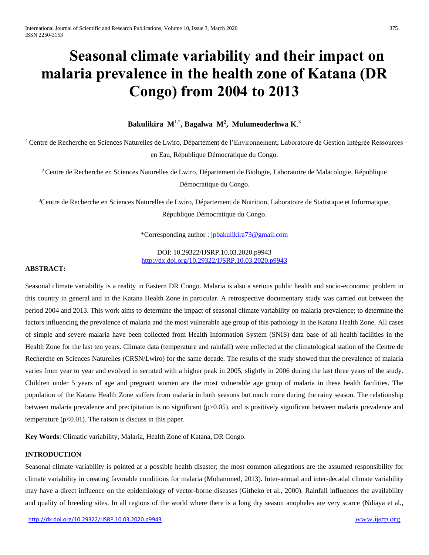# **Seasonal climate variability and their impact on malaria prevalence in the health zone of Katana (DR Congo) from 2004 to 2013**

**Bakulikira M**1,\* **, Bagalwa M<sup>2</sup> , Mulumeoderhwa K**. 3

<sup>1</sup>Centre de Recherche en Sciences Naturelles de Lwiro, Département de l'Environnement, Laboratoire de Gestion Intégrée Ressources en Eau, République Démocratique du Congo.

<sup>2</sup> Centre de Recherche en Sciences Naturelles de Lwiro, Département de Biologie, Laboratoire de Malacologie, République Démocratique du Congo.

<sup>3</sup>Centre de Recherche en Sciences Naturelles de Lwiro, Département de Nutrition, Laboratoire de Statistique et Informatique, République Démocratique du Congo.

\*Corresponding author : [jpbakulikira73@gmail.com](mailto:jpbakulikira73@gmail.com)

DOI: 10.29322/IJSRP.10.03.2020.p9943 <http://dx.doi.org/10.29322/IJSRP.10.03.2020.p9943>

## **ABSTRACT:**

Seasonal climate variability is a reality in Eastern DR Congo. Malaria is also a serious public health and socio-economic problem in this country in general and in the Katana Health Zone in particular. A retrospective documentary study was carried out between the period 2004 and 2013. This work aims to determine the impact of seasonal climate variability on malaria prevalence; to determine the factors influencing the prevalence of malaria and the most vulnerable age group of this pathology in the Katana Health Zone. All cases of simple and severe malaria have been collected from Health Information System (SNIS) data base of all health facilities in the Health Zone for the last ten years. Climate data (temperature and rainfall) were collected at the climatological station of the Centre de Recherche en Sciences Naturelles (CRSN/Lwiro) for the same decade. The results of the study showed that the prevalence of malaria varies from year to year and evolved in serrated with a higher peak in 2005, slightly in 2006 during the last three years of the study. Children under 5 years of age and pregnant women are the most vulnerable age group of malaria in these health facilities. The population of the Katana Health Zone suffers from malaria in both seasons but much more during the rainy season. The relationship between malaria prevalence and precipitation is no significant (p>0.05), and is positively significant between malaria prevalence and temperature  $(p<0.01)$ . The raison is discuss in this paper.

**Key Words**: Climatic variability, Malaria, Health Zone of Katana, DR Congo.

## **INTRODUCTION**

Seasonal climate variability is pointed at a possible health disaster; the most common allegations are the assumed responsibility for climate variability in creating favorable conditions for malaria (Mohammed, 2013). Inter-annual and inter-decadal climate variability may have a direct influence on the epidemiology of vector-borne diseases (Githeko et al., 2000). Rainfall influences the availability and quality of breeding sites. In all regions of the world where there is a long dry season anopheles are very scarce (Ndiaya et al.,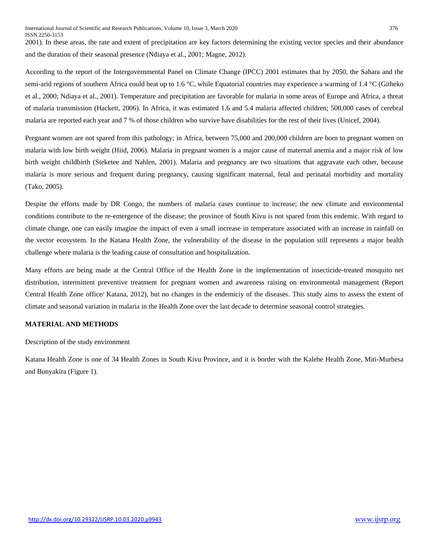2001). In these areas, the rate and extent of precipitation are key factors determining the existing vector species and their abundance and the duration of their seasonal presence (Ndiaya et al., 2001; Magne, 2012).

According to the report of the Intergovernmental Panel on Climate Change (IPCC) 2001 estimates that by 2050, the Sahara and the semi-arid regions of southern Africa could heat up to 1.6 °C, while Equatorial countries may experience a warming of 1.4 °C (Githeko et al., 2000; Ndiaya et al., 2001). Temperature and precipitation are favorable for malaria in some areas of Europe and Africa, a threat of malaria transmission (Hackett, 2006). In Africa, it was estimated 1.6 and 5.4 malaria affected children; 500,000 cases of cerebral malaria are reported each year and 7 % of those children who survive have disabilities for the rest of their lives (Unicef, 2004).

Pregnant women are not spared from this pathology; in Africa, between 75,000 and 200,000 children are born to pregnant women on malaria with low birth weight (Hiid, 2006). Malaria in pregnant women is a major cause of maternal anemia and a major risk of low birth weight childbirth (Steketee and Nahlen, 2001). Malaria and pregnancy are two situations that aggravate each other, because malaria is more serious and frequent during pregnancy, causing significant maternal, fetal and perinatal morbidity and mortality (Tako, 2005).

Despite the efforts made by DR Congo, the numbers of malaria cases continue to increase; the new climate and environmental conditions contribute to the re-emergence of the disease; the province of South Kivu is not spared from this endemic. With regard to climate change, one can easily imagine the impact of even a small increase in temperature associated with an increase in rainfall on the vector ecosystem. In the Katana Health Zone, the vulnerability of the disease in the population still represents a major health challenge where malaria is the leading cause of consultation and hospitalization.

Many efforts are being made at the Central Office of the Health Zone in the implementation of insecticide-treated mosquito net distribution, intermittent preventive treatment for pregnant women and awareness raising on environmental management (Report Central Health Zone office/ Katana, 2012), but no changes in the endemiciy of the diseases. This study aims to assess the extent of climate and seasonal variation in malaria in the Health Zone over the last decade to determine seasonal control strategies.

## **MATERIAL AND METHODS**

Description of the study environment

Katana Health Zone is one of 34 Health Zones in South Kivu Province, and it is border with the Kalehe Health Zone, Miti-Murhesa and Bunyakira (Figure 1).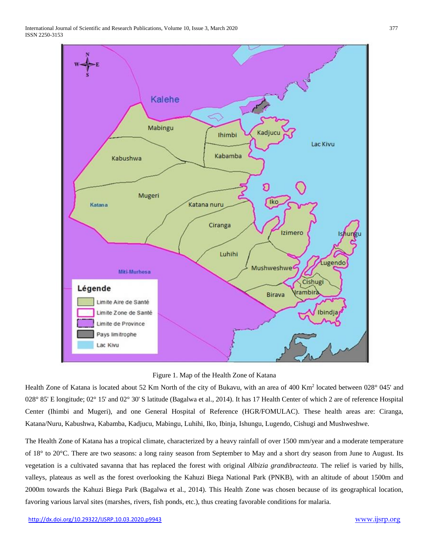International Journal of Scientific and Research Publications, Volume 10, Issue 3, March 2020 377 ISSN 2250-3153



Figure 1. Map of the Health Zone of Katana

Health Zone of Katana is located about 52 Km North of the city of Bukavu, with an area of 400 Km<sup>2</sup> located between 028° 045' and 028° 85' E longitude; 02° 15' and 02° 30' S latitude (Bagalwa et al., 2014). It has 17 Health Center of which 2 are of reference Hospital Center (Ihimbi and Mugeri), and one General Hospital of Reference (HGR/FOMULAC). These health areas are: Ciranga, Katana/Nuru, Kabushwa, Kabamba, Kadjucu, Mabingu, Luhihi, Iko, Ibinja, Ishungu, Lugendo, Cishugi and Mushweshwe.

The Health Zone of Katana has a tropical climate, characterized by a heavy rainfall of over 1500 mm/year and a moderate temperature of 18° to 20°C. There are two seasons: a long rainy season from September to May and a short dry season from June to August. Its vegetation is a cultivated savanna that has replaced the forest with original *Albizia grandibracteata*. The relief is varied by hills, valleys, plateaus as well as the forest overlooking the Kahuzi Biega National Park (PNKB), with an altitude of about 1500m and 2000m towards the Kahuzi Biega Park (Bagalwa et al., 2014). This Health Zone was chosen because of its geographical location, favoring various larval sites (marshes, rivers, fish ponds, etc.), thus creating favorable conditions for malaria.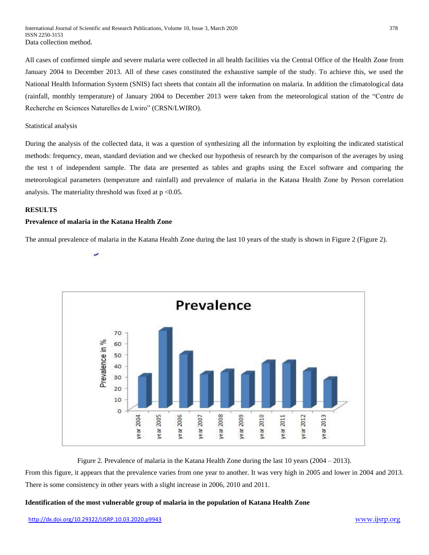All cases of confirmed simple and severe malaria were collected in all health facilities via the Central Office of the Health Zone from January 2004 to December 2013. All of these cases constituted the exhaustive sample of the study. To achieve this, we used the National Health Information System (SNIS) fact sheets that contain all the information on malaria. In addition the climatological data (rainfall, monthly temperature) of January 2004 to December 2013 were taken from the meteorological station of the "Centre de Recherche en Sciences Naturelles de Lwiro" (CRSN/LWIRO).

Statistical analysis

During the analysis of the collected data, it was a question of synthesizing all the information by exploiting the indicated statistical methods: frequency, mean, standard deviation and we checked our hypothesis of research by the comparison of the averages by using the test t of independent sample. The data are presented as tables and graphs using the Excel software and comparing the meteorological parameters (temperature and rainfall) and prevalence of malaria in the Katana Health Zone by Person correlation analysis. The materiality threshold was fixed at  $p < 0.05$ .

## **RESULTS**

## **Prevalence of malaria in the Katana Health Zone**

ر

The annual prevalence of malaria in the Katana Health Zone during the last 10 years of the study is shown in Figure 2 (Figure 2).



Figure 2. Prevalence of malaria in the Katana Health Zone during the last 10 years (2004 – 2013).

From this figure, it appears that the prevalence varies from one year to another. It was very high in 2005 and lower in 2004 and 2013. There is some consistency in other years with a slight increase in 2006, 2010 and 2011.

## **Identification of the most vulnerable group of malaria in the population of Katana Health Zone**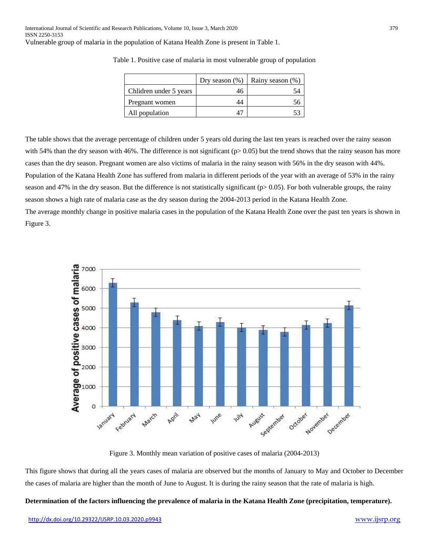|                        | Dry season $(\%)$ | Rainy season (%) |
|------------------------|-------------------|------------------|
| Chlidren under 5 years | 46                |                  |
| Pregnant women         |                   |                  |
| All population         |                   |                  |

Table 1. Positive case of malaria in most vulnerable group of population

The table shows that the average percentage of children under 5 years old during the last ten years is reached over the rainy season with 54% than the dry season with 46%. The difference is not significant  $(p>0.05)$  but the trend shows that the rainy season has more cases than the dry season. Pregnant women are also victims of malaria in the rainy season with 56% in the dry season with 44%. Population of the Katana Health Zone has suffered from malaria in different periods of the year with an average of 53% in the rainy season and 47% in the dry season. But the difference is not statistically significant (p> 0.05). For both vulnerable groups, the rainy season shows a high rate of malaria case as the dry season during the 2004-2013 period in the Katana Health Zone. The average monthly change in positive malaria cases in the population of the Katana Health Zone over the past ten years is shown in Figure 3.



Figure 3. Monthly mean variation of positive cases of malaria (2004-2013)

This figure shows that during all the years cases of malaria are observed but the months of January to May and October to December the cases of malaria are higher than the month of June to August. It is during the rainy season that the rate of malaria is high.

## **Determination of the factors influencing the prevalence of malaria in the Katana Health Zone (precipitation, temperature).**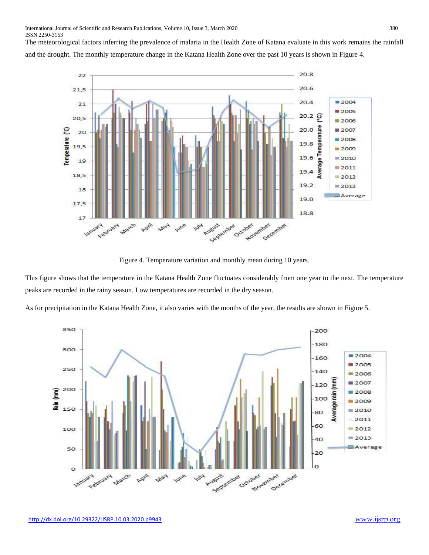The meteorological factors inferring the prevalence of malaria in the Health Zone of Katana evaluate in this work remains the rainfall and the drought. The monthly temperature change in the Katana Health Zone over the past 10 years is shown in Figure 4.



Figure 4. Temperature variation and monthly mean during 10 years.

This figure shows that the temperature in the Katana Health Zone fluctuates considerably from one year to the next. The temperature peaks are recorded in the rainy season. Low temperatures are recorded in the dry season.

As for precipitation in the Katana Health Zone, it also varies with the months of the year, the results are shown in Figure 5.

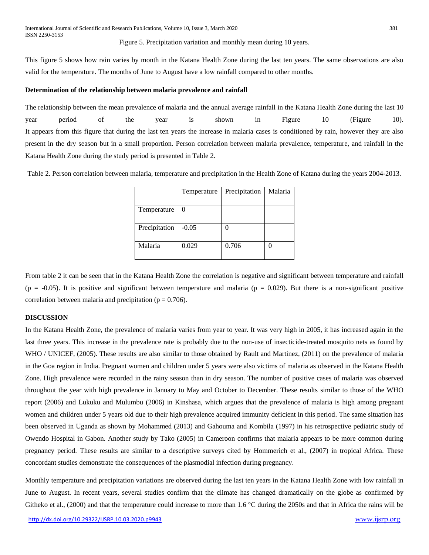Figure 5. Precipitation variation and monthly mean during 10 years.

This figure 5 shows how rain varies by month in the Katana Health Zone during the last ten years. The same observations are also valid for the temperature. The months of June to August have a low rainfall compared to other months.

#### **Determination of the relationship between malaria prevalence and rainfall**

The relationship between the mean prevalence of malaria and the annual average rainfall in the Katana Health Zone during the last 10 year period of the year is shown in Figure 10 (Figure 10). It appears from this figure that during the last ten years the increase in malaria cases is conditioned by rain, however they are also present in the dry season but in a small proportion. Person correlation between malaria prevalence, temperature, and rainfall in the Katana Health Zone during the study period is presented in Table 2.

Table 2. Person correlation between malaria, temperature and precipitation in the Health Zone of Katana during the years 2004-2013.

|               | Temperature | Precipitation | Malaria |
|---------------|-------------|---------------|---------|
| Temperature   | 0           |               |         |
| Precipitation | $-0.05$     |               |         |
| Malaria       | 0.029       | 0.706         |         |

From table 2 it can be seen that in the Katana Health Zone the correlation is negative and significant between temperature and rainfall  $(p = -0.05)$ . It is positive and significant between temperature and malaria  $(p = 0.029)$ . But there is a non-significant positive correlation between malaria and precipitation ( $p = 0.706$ ).

## **DISCUSSION**

In the Katana Health Zone, the prevalence of malaria varies from year to year. It was very high in 2005, it has increased again in the last three years. This increase in the prevalence rate is probably due to the non-use of insecticide-treated mosquito nets as found by WHO / UNICEF, (2005). These results are also similar to those obtained by Rault and Martinez, (2011) on the prevalence of malaria in the Goa region in India. Pregnant women and children under 5 years were also victims of malaria as observed in the Katana Health Zone. High prevalence were recorded in the rainy season than in dry season. The number of positive cases of malaria was observed throughout the year with high prevalence in January to May and October to December. These results similar to those of the WHO report (2006) and Lukuku and Mulumbu (2006) in Kinshasa, which argues that the prevalence of malaria is high among pregnant women and children under 5 years old due to their high prevalence acquired immunity deficient in this period. The same situation has been observed in Uganda as shown by Mohammed (2013) and Gahouma and Kombila (1997) in his retrospective pediatric study of Owendo Hospital in Gabon. Another study by Tako (2005) in Cameroon confirms that malaria appears to be more common during pregnancy period. These results are similar to a descriptive surveys cited by Hommerich et al., (2007) in tropical Africa. These concordant studies demonstrate the consequences of the plasmodial infection during pregnancy.

Monthly temperature and precipitation variations are observed during the last ten years in the Katana Health Zone with low rainfall in June to August. In recent years, several studies confirm that the climate has changed dramatically on the globe as confirmed by Githeko et al., (2000) and that the temperature could increase to more than 1.6 °C during the 2050s and that in Africa the rains will be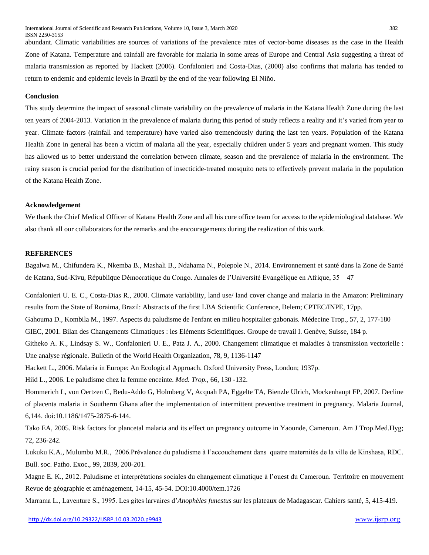abundant. Climatic variabilities are sources of variations of the prevalence rates of vector-borne diseases as the case in the Health Zone of Katana. Temperature and rainfall are favorable for malaria in some areas of Europe and Central Asia suggesting a threat of malaria transmission as reported by Hackett (2006). Confalonieri and Costa-Dias, (2000) also confirms that malaria has tended to return to endemic and epidemic levels in Brazil by the end of the year following El Niño.

## **Conclusion**

This study determine the impact of seasonal climate variability on the prevalence of malaria in the Katana Health Zone during the last ten years of 2004-2013. Variation in the prevalence of malaria during this period of study reflects a reality and it's varied from year to year. Climate factors (rainfall and temperature) have varied also tremendously during the last ten years. Population of the Katana Health Zone in general has been a victim of malaria all the year, especially children under 5 years and pregnant women. This study has allowed us to better understand the correlation between climate, season and the prevalence of malaria in the environment. The rainy season is crucial period for the distribution of insecticide-treated mosquito nets to effectively prevent malaria in the population of the Katana Health Zone.

## **Acknowledgement**

We thank the Chief Medical Officer of Katana Health Zone and all his core office team for access to the epidemiological database. We also thank all our collaborators for the remarks and the encouragements during the realization of this work.

## **REFERENCES**

Bagalwa M., Chifundera K., Nkemba B., Mashali B., Ndahama N., Polepole N., 2014. Environnement et santé dans la Zone de Santé de Katana, Sud-Kivu, République Démocratique du Congo. Annales de l'Université Evangélique en Afrique, 35 – 47

Confalonieri U. E. C., Costa-Dias R., 2000. Climate variability, land use/ land cover change and malaria in the Amazon: Preliminary results from the State of Roraima, Brazil: Abstracts of the first LBA Scientific Conference, Belem; CPTEC/INPE, 17pp. Gahouma D.*,* Kombila M*.*, 1997. Aspects du paludisme de l'enfant en milieu hospitalier gabonais*.* Médecine Trop., 57, 2, 177-180 GIEC, 2001. Bilan des Changements Climatiques : les Eléments Scientifiques. Groupe de travail I. Genève, Suisse, 184 p. Githeko A. K., Lindsay S. W., Confalonieri U. E., Patz J. A., 2000. Changement climatique et maladies à transmission vectorielle : Une analyse régionale. Bulletin of the World Health Organization, 78, 9, 1136-1147 Hackett L., 2006. Malaria in Europe: An Ecological Approach. Oxford University Press, London; 1937p. Hiid L., 2006. Le paludisme chez la femme enceinte. *Med. Trop.*, 66, 130 -132. Hommerich L, von Oertzen C, Bedu-Addo G, Holmberg V, Acquah PA, Eggelte TA, Bienzle Ulrich, Mockenhaupt FP, 2007. Decline of placenta malaria in Southerm Ghana after the implementation of intermittent preventive treatment in pregnancy. Malaria Journal, 6,144. doi:10.1186/1475-2875-6-144.

Tako EA, 2005. Risk factors for plancetal malaria and its effect on pregnancy outcome in Yaounde, Cameroun. Am J Trop.Med.Hyg; 72, 236-242.

Lukuku K.A., Mulumbu M.R., 2006.Prévalence du paludisme à l'accouchement dans quatre maternités de la ville de Kinshasa, RDC. Bull. soc. Patho. Exoc., 99, 2839, 200-201.

Magne E. K., 2012. Paludisme et interprétations sociales du changement climatique à l'ouest du Cameroun. Territoire en mouvement Revue de géographie et aménagement, 14-15, 45-54. DOI:10.4000/tem.1726

Marrama L., Laventure S., 1995. Les gites larvaires d'*Anophèles funestus* sur les plateaux de Madagascar. Cahiers santé, 5, 415-419.